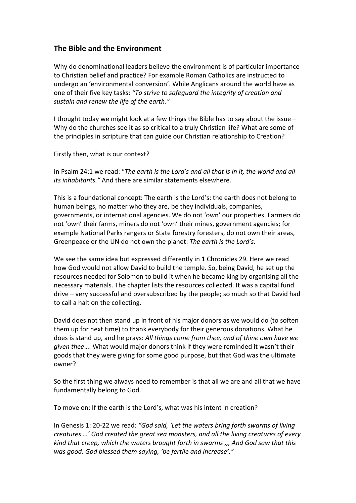## **The Bible and the Environment**

Why do denominational leaders believe the environment is of particular importance to Christian belief and practice? For example Roman Catholics are instructed to undergo an 'environmental conversion'. While Anglicans around the world have as one of their five key tasks: *"To strive to safeguard the integrity of creation and sustain and renew the life of the earth."*

I thought today we might look at a few things the Bible has to say about the issue – Why do the churches see it as so critical to a truly Christian life? What are some of the principles in scripture that can guide our Christian relationship to Creation?

Firstly then, what is our context?

In Psalm 24:1 we read: "*The earth is the Lord's and all that is in it, the world and all its inhabitants."* And there are similar statements elsewhere.

This is a foundational concept: The earth is the Lord's: the earth does not belong to human beings, no matter who they are, be they individuals, companies, governments, or international agencies. We do not 'own' our properties. Farmers do not 'own' their farms, miners do not 'own' their mines, government agencies; for example National Parks rangers or State forestry foresters, do not own their areas, Greenpeace or the UN do not own the planet: *The earth is the Lord's*.

We see the same idea but expressed differently in 1 Chronicles 29. Here we read how God would not allow David to build the temple. So, being David, he set up the resources needed for Solomon to build it when he became king by organising all the necessary materials. The chapter lists the resources collected. It was a capital fund drive – very successful and oversubscribed by the people; so much so that David had to call a halt on the collecting.

David does not then stand up in front of his major donors as we would do (to soften them up for next time) to thank everybody for their generous donations. What he does is stand up, and he prays: *All things come from thee, and of thine own have we given thee*…. What would major donors think if they were reminded it wasn't their goods that they were giving for some good purpose, but that God was the ultimate owner?

So the first thing we always need to remember is that all we are and all that we have fundamentally belong to God.

To move on: If the earth is the Lord's, what was his intent in creation?

In Genesis 1: 20-22 we read: *"God said, 'Let the waters bring forth swarms of living creatures …' God created the great sea monsters, and all the living creatures of every kind that creep, which the waters brought forth in swarms ,,, And God saw that this was good. God blessed them saying, 'be fertile and increase'."*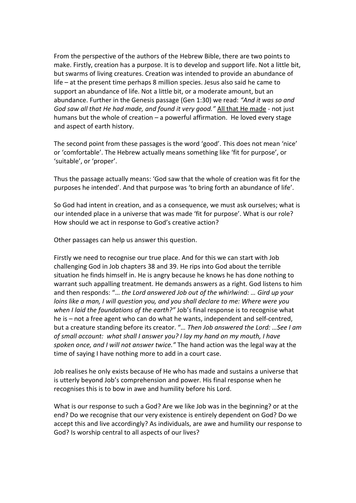From the perspective of the authors of the Hebrew Bible, there are two points to make. Firstly, creation has a purpose. It is to develop and support life. Not a little bit, but swarms of living creatures. Creation was intended to provide an abundance of life – at the present time perhaps 8 million species. Jesus also said he came to support an abundance of life. Not a little bit, or a moderate amount, but an abundance. Further in the Genesis passage (Gen 1:30) we read: *"And it was so and God saw all that He had made, and found it very good."* All that He made - not just humans but the whole of creation – a powerful affirmation. He loved every stage and aspect of earth history.

The second point from these passages is the word 'good'. This does not mean 'nice' or 'comfortable'. The Hebrew actually means something like 'fit for purpose', or 'suitable', or 'proper'.

Thus the passage actually means: 'God saw that the whole of creation was fit for the purposes he intended'. And that purpose was 'to bring forth an abundance of life'.

So God had intent in creation, and as a consequence, we must ask ourselves; what is our intended place in a universe that was made 'fit for purpose'. What is our role? How should we act in response to God's creative action?

Other passages can help us answer this question.

Firstly we need to recognise our true place. And for this we can start with Job challenging God in Job chapters 38 and 39. He rips into God about the terrible situation he finds himself in. He is angry because he knows he has done nothing to warrant such appalling treatment. He demands answers as a right. God listens to him and then responds: "… *the Lord answered Job out of the whirlwind: … Gird up your loins like a man, I will question you, and you shall declare to me: Where were you when I laid the foundations of the earth?"* Job's final response is to recognise what he is – not a free agent who can do what he wants, independent and self-centred, but a creature standing before its creator. "*… Then Job answered the Lord: …See I am of small account: what shall I answer you? I lay my hand on my mouth, I have spoken once, and I will not answer twice."* The hand action was the legal way at the time of saying I have nothing more to add in a court case.

Job realises he only exists because of He who has made and sustains a universe that is utterly beyond Job's comprehension and power. His final response when he recognises this is to bow in awe and humility before his Lord.

What is our response to such a God? Are we like Job was in the beginning? or at the end? Do we recognise that our very existence is entirely dependent on God? Do we accept this and live accordingly? As individuals, are awe and humility our response to God? Is worship central to all aspects of our lives?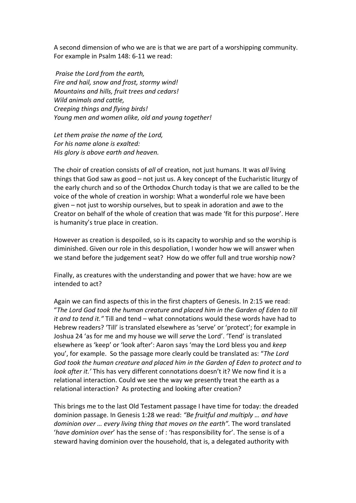A second dimension of who we are is that we are part of a worshipping community. For example in Psalm 148: 6-11 we read:

*Praise the Lord from the earth, Fire and hail, snow and frost, stormy wind! Mountains and hills, fruit trees and cedars! Wild animals and cattle, Creeping things and flying birds! Young men and women alike, old and young together!*

*Let them praise the name of the Lord, For his name alone is exalted: His glory is above earth and heaven.*

The choir of creation consists of *all* of creation, not just humans. It was *all* living things that God saw as good – not just us. A key concept of the Eucharistic liturgy of the early church and so of the Orthodox Church today is that we are called to be the voice of the whole of creation in worship: What a wonderful role we have been given – not just to worship ourselves, but to speak in adoration and awe to the Creator on behalf of the whole of creation that was made 'fit for this purpose'. Here is humanity's true place in creation.

However as creation is despoiled, so is its capacity to worship and so the worship is diminished. Given our role in this despoliation, I wonder how we will answer when we stand before the judgement seat? How do we offer full and true worship now?

Finally, as creatures with the understanding and power that we have: how are we intended to act?

Again we can find aspects of this in the first chapters of Genesis. In 2:15 we read: "*The Lord God took the human creature and placed him in the Garden of Eden to till it and to tend it."* Till and tend – what connotations would these words have had to Hebrew readers? 'Till' is translated elsewhere as 'serve' or 'protect'; for example in Joshua 24 'as for me and my house we will *serve* the Lord'. 'Tend' is translated elsewhere as 'keep' or 'look after': Aaron says 'may the Lord bless you and *keep* you', for example. So the passage more clearly could be translated as: "*The Lord God took the human creature and placed him in the Garden of Eden to protect and to look after it.'* This has very different connotations doesn't it? We now find it is a relational interaction. Could we see the way we presently treat the earth as a relational interaction? As protecting and looking after creation?

This brings me to the last Old Testament passage I have time for today: the dreaded dominion passage. In Genesis 1:28 we read: *"Be fruitful and multiply … and have dominion over … every living thing that moves on the earth".* The word translated '*have dominion over*' has the sense of : 'has responsibility for'. The sense is of a steward having dominion over the household, that is, a delegated authority with